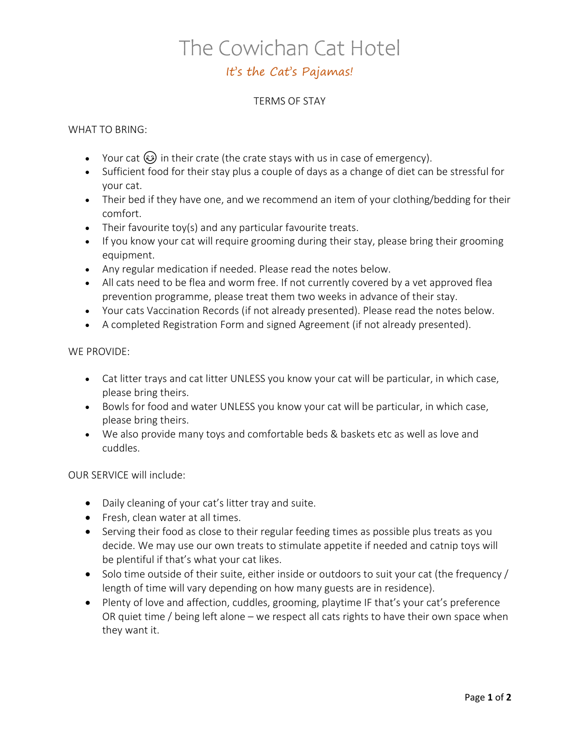# The Cowichan Cat Hotel

### It's the Cat's Pajamas!

#### TERMS OF STAY

#### WHAT TO BRING:

- Your cat  $\omega$  in their crate (the crate stays with us in case of emergency).
- Sufficient food for their stay plus a couple of days as a change of diet can be stressful for your cat.
- Their bed if they have one, and we recommend an item of your clothing/bedding for their comfort.
- Their favourite toy(s) and any particular favourite treats.
- If you know your cat will require grooming during their stay, please bring their grooming equipment.
- Any regular medication if needed. Please read the notes below.
- All cats need to be flea and worm free. If not currently covered by a vet approved flea prevention programme, please treat them two weeks in advance of their stay.
- Your cats Vaccination Records (if not already presented). Please read the notes below.
- A completed Registration Form and signed Agreement (if not already presented).

#### WE PROVIDE:

- Cat litter trays and cat litter UNLESS you know your cat will be particular, in which case, please bring theirs.
- Bowls for food and water UNLESS you know your cat will be particular, in which case, please bring theirs.
- We also provide many toys and comfortable beds & baskets etc as well as love and cuddles.

#### OUR SERVICE will include:

- Daily cleaning of your cat's litter tray and suite.
- Fresh, clean water at all times.
- Serving their food as close to their regular feeding times as possible plus treats as you decide. We may use our own treats to stimulate appetite if needed and catnip toys will be plentiful if that's what your cat likes.
- Solo time outside of their suite, either inside or outdoors to suit your cat (the frequency / length of time will vary depending on how many guests are in residence).
- Plenty of love and affection, cuddles, grooming, playtime IF that's your cat's preference OR quiet time / being left alone – we respect all cats rights to have their own space when they want it.